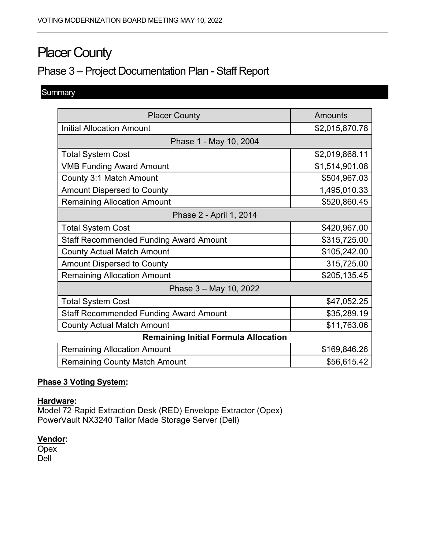# **Placer County**

# Phase 3 – Project Documentation Plan - Staff Report

# **Summary**

| <b>Placer County</b>                          | Amounts        |
|-----------------------------------------------|----------------|
| <b>Initial Allocation Amount</b>              | \$2,015,870.78 |
| Phase 1 - May 10, 2004                        |                |
| <b>Total System Cost</b>                      | \$2,019,868.11 |
| <b>VMB Funding Award Amount</b>               | \$1,514,901.08 |
| County 3:1 Match Amount                       | \$504,967.03   |
| <b>Amount Dispersed to County</b>             | 1,495,010.33   |
| <b>Remaining Allocation Amount</b>            | \$520,860.45   |
| Phase 2 - April 1, 2014                       |                |
| <b>Total System Cost</b>                      | \$420,967.00   |
| <b>Staff Recommended Funding Award Amount</b> | \$315,725.00   |
| <b>County Actual Match Amount</b>             | \$105,242.00   |
| <b>Amount Dispersed to County</b>             | 315,725.00     |
| <b>Remaining Allocation Amount</b>            | \$205,135.45   |
| Phase 3 - May 10, 2022                        |                |
| <b>Total System Cost</b>                      | \$47,052.25    |
| <b>Staff Recommended Funding Award Amount</b> | \$35,289.19    |
| <b>County Actual Match Amount</b>             | \$11,763.06    |
| <b>Remaining Initial Formula Allocation</b>   |                |
| <b>Remaining Allocation Amount</b>            | \$169,846.26   |
| <b>Remaining County Match Amount</b>          | \$56,615.42    |

## **Phase 3 Voting System:**

#### **Hardware:**

Model 72 Rapid Extraction Desk (RED) Envelope Extractor (Opex) PowerVault NX3240 Tailor Made Storage Server (Dell)

# **Vendor:**

**Opex** Dell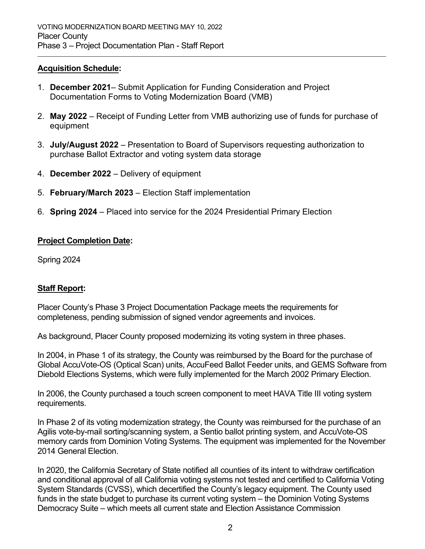#### **Acquisition Schedule:**

- 1. **December 2021** Submit Application for Funding Consideration and Project Documentation Forms to Voting Modernization Board (VMB)
- 2. **May 2022** Receipt of Funding Letter from VMB authorizing use of funds for purchase of equipment

\_\_\_\_\_\_\_\_\_\_\_\_\_\_\_\_\_\_\_\_\_\_\_\_\_\_\_\_\_\_\_\_\_\_\_\_\_\_\_\_\_\_\_\_\_\_\_\_\_\_\_\_\_\_\_\_\_\_\_\_\_\_\_\_\_\_\_\_\_\_\_\_\_\_\_\_\_\_\_\_\_\_\_\_\_\_\_\_\_\_\_\_\_\_\_\_\_\_\_\_\_\_\_\_\_\_\_\_\_\_\_\_\_\_\_\_\_\_\_\_\_\_\_\_\_\_\_\_

- 3. **July/August 2022** Presentation to Board of Supervisors requesting authorization to purchase Ballot Extractor and voting system data storage
- 4. **December 2022** Delivery of equipment
- 5. **February/March 2023** Election Staff implementation
- 6. **Spring 2024** Placed into service for the 2024 Presidential Primary Election

## **Project Completion Date:**

Spring 2024

# **Staff Report:**

Placer County's Phase 3 Project Documentation Package meets the requirements for completeness, pending submission of signed vendor agreements and invoices.

As background, Placer County proposed modernizing its voting system in three phases.

In 2004, in Phase 1 of its strategy, the County was reimbursed by the Board for the purchase of Global AccuVote-OS (Optical Scan) units, AccuFeed Ballot Feeder units, and GEMS Software from Diebold Elections Systems, which were fully implemented for the March 2002 Primary Election.

In 2006, the County purchased a touch screen component to meet HAVA Title III voting system requirements.

In Phase 2 of its voting modernization strategy, the County was reimbursed for the purchase of an Agilis vote-by-mail sorting/scanning system, a Sentio ballot printing system, and AccuVote-OS memory cards from Dominion Voting Systems. The equipment was implemented for the November 2014 General Election.

In 2020, the California Secretary of State notified all counties of its intent to withdraw certification and conditional approval of all California voting systems not tested and certified to California Voting System Standards (CVSS), which decertified the County's legacy equipment. The County used funds in the state budget to purchase its current voting system – the Dominion Voting Systems Democracy Suite – which meets all current state and Election Assistance Commission